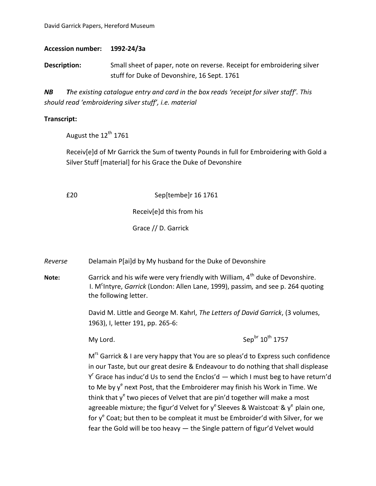David Garrick Papers, Hereford Museum

**Accession number: 1992-24/3a**

**Description:** Small sheet of paper, note on reverse. Receipt for embroidering silver stuff for Duke of Devonshire, 16 Sept. 1761

*NB The existing catalogue entry and card in the box reads 'receipt for silver staff'. This should read 'embroidering silver stuff', i.e. material*

## **Transcript:**

August the  $12^{th}$  1761

Receiv[e]d of Mr Garrick the Sum of twenty Pounds in full for Embroidering with Gold a Silver Stuff [material] for his Grace the Duke of Devonshire

£20 Sep[tembe]r 16 1761

Receiv[e]d this from his

Grace // D. Garrick

*Reverse* Delamain P[ai]d by My husband for the Duke of Devonshire

**Note:** Garrick and his wife were very friendly with William, 4<sup>th</sup> duke of Devonshire. I. M<sup>c</sup>Intyre, *Garrick* (London: Allen Lane, 1999), passim, and see p. 264 quoting the following letter.

> David M. Little and George M. Kahrl, *The Letters of David Garrick*, (3 volumes, 1963), I, letter 191, pp. 265-6:

My Lord.  $\text{Sep}^{\text{br}} 10^{\text{th}} 1757$ 

M<sup>rs</sup> Garrick & I are very happy that You are so pleas'd to Express such confidence in our Taste, but our great desire & Endeavour to do nothing that shall displease  $Y<sup>r</sup>$  Grace has induc'd Us to send the Enclos'd  $-$  which I must beg to have return'd to Me by y<sup>e</sup> next Post, that the Embroiderer may finish his Work in Time. We think that y<sup>e</sup> two pieces of Velvet that are pin'd together will make a most agreeable mixture; the figur'd Velvet for  $y^e$  Sleeves & Waistcoat' &  $y^e$  plain one, for y<sup>e</sup> Coat; but then to be compleat it must be Embroider'd with Silver, for we fear the Gold will be too heavy — the Single pattern of figur'd Velvet would